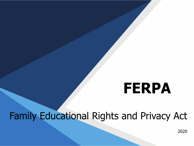# **FERPA**

## Family Educational Rights and Privacy Act

2020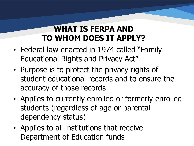#### **WHAT IS FERPA AND TO WHOM DOES IT APPLY?**

- Federal law enacted in 1974 called "Family Educational Rights and Privacy Act"
- Purpose is to protect the privacy rights of student educational records and to ensure the accuracy of those records
- Applies to currently enrolled or formerly enrolled students (regardless of age or parental dependency status)
- Applies to all institutions that receive Department of Education funds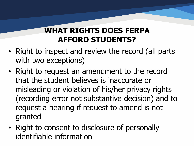#### **WHAT RIGHTS DOES FERPA AFFORD STUDENTS?**

- Right to inspect and review the record (all parts with two exceptions)
- Right to request an amendment to the record that the student believes is inaccurate or misleading or violation of his/her privacy rights (recording error not substantive decision) and to request a hearing if request to amend is not granted
- Right to consent to disclosure of personally identifiable information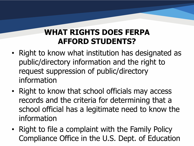#### **WHAT RIGHTS DOES FERPA AFFORD STUDENTS?**

- Right to know what institution has designated as public/directory information and the right to request suppression of public/directory information
- Right to know that school officials may access records and the criteria for determining that a school official has a legitimate need to know the information
- Right to file a complaint with the Family Policy Compliance Office in the U.S. Dept. of Education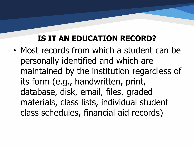#### **IS IT AN EDUCATION RECORD?**

• Most records from which a student can be personally identified and which are maintained by the institution regardless of its form (e.g., handwritten, print, database, disk, email, files, graded materials, class lists, individual student class schedules, financial aid records)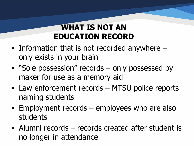#### **WHAT IS NOT AN EDUCATION RECORD**

- Information that is not recorded anywhere only exists in your brain
- "Sole possession" records only possessed by maker for use as a memory aid
- Law enforcement records MTSU police reports naming students
- Employment records employees who are also students
- Alumni records records created after student is no longer in attendance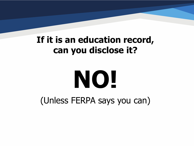## **If it is an education record, can you disclose it?**

# **NO!**

(Unless FERPA says you can)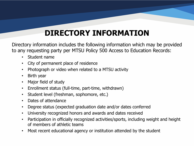#### **DIRECTORY INFORMATION**

Directory information includes the following information which may be provided to any requesting party per MTSU Policy 500 Access to Education Records:

- Student name
- City of permanent place of residence
- Photograph or video when related to a MTSU activity
- Birth year
- Major field of study
- Enrollment status (full-time, part-time, withdrawn)
- Student level (freshman, sophomore, etc.)
- Dates of attendance
- Degree status (expected graduation date and/or dates conferred
- University recognized honors and awards and dates received
- Participation in officially recognized activities/sports, including weight and height of members of athletic teams
- Most recent educational agency or institution attended by the student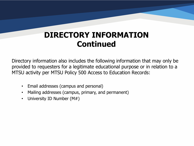#### **DIRECTORY INFORMATION Continued**

Directory information also includes the following information that may only be provided to requesters for a legitimate educational purpose or in relation to a MTSU activity per MTSU Policy 500 Access to Education Records:

- Email addresses (campus and personal)
- Mailing addresses (campus, primary, and permanent)
- University ID Number (M#)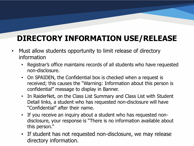#### **DIRECTORY INFORMATION USE/RELEASE**

- Must allow students opportunity to limit release of directory information
	- Registrar's office maintains records of all students who have requested non-disclosure.
	- On SPAIDEN, the Confidential box is checked when a request is received; this causes the "Warning: Information about this person is confidential" message to display in Banner.
	- In RaiderNet, on the Class List Summary and Class List with Student Detail links, a student who has requested non-disclosure will have "Confidential" after their name.
	- If you receive an inquiry about a student who has requested nondisclosure, your response is "There is no information available about this person."
	- If student has not requested non-disclosure, we may release directory information.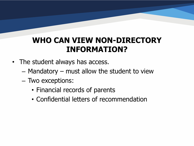- The student always has access.
	- Mandatory must allow the student to view
	- Two exceptions:
		- Financial records of parents
		- Confidential letters of recommendation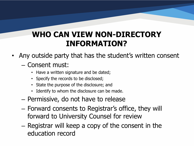• Any outside party that has the student's written consent

#### – Consent must:

- Have a written signature and be dated;
- Specify the records to be disclosed;
- State the purpose of the disclosure; and
- Identify to whom the disclosure can be made.
- Permissive, do not have to release
- Forward consents to Registrar's office, they will forward to University Counsel for review
- Registrar will keep a copy of the consent in the education record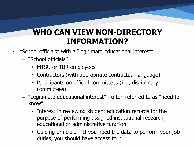- "School officials" with a "legitimate educational interest"
	- "School officials"
		- MTSU or TBR employees
		- Contractors (with appropriate contractual language)
		- Participants on official committees (i.e., disciplinary committees)
	- "Legitimate educational interest" often referred to as "need to know"
		- Interest in reviewing student education records for the purpose of performing assigned institutional research, educational or administrative function
		- Guiding principle If you need the data to perform your job duties, you should have access to it.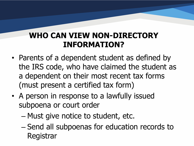- Parents of a dependent student as defined by the IRS code, who have claimed the student as a dependent on their most recent tax forms (must present a certified tax form)
- A person in response to a lawfully issued subpoena or court order
	- Must give notice to student, etc.
	- Send all subpoenas for education records to Registrar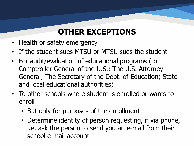#### **OTHER EXCEPTIONS**

- Health or safety emergency
- If the student sues MTSU or MTSU sues the student
- For audit/evaluation of educational programs (to Comptroller General of the U.S.; The U.S. Attorney General; The Secretary of the Dept. of Education; State and local educational authorities)
- To other schools where student is enrolled or wants to enroll
	- But only for purposes of the enrollment
	- Determine identity of person requesting, if via phone, i.e. ask the person to send you an e-mail from their school e-mail account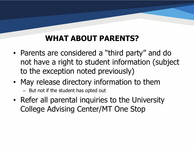#### **WHAT ABOUT PARENTS?**

- Parents are considered a "third party" and do not have a right to student information (subject to the exception noted previously)
- May release directory information to them
	- But not if the student has opted out
- Refer all parental inquiries to the University College Advising Center/MT One Stop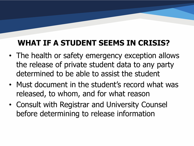#### **WHAT IF A STUDENT SEEMS IN CRISIS?**

- The health or safety emergency exception allows the release of private student data to any party determined to be able to assist the student
- Must document in the student's record what was released, to whom, and for what reason
- Consult with Registrar and University Counsel before determining to release information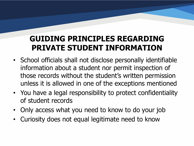#### **GUIDING PRINCIPLES REGARDING PRIVATE STUDENT INFORMATION**

- School officials shall not disclose personally identifiable information about a student nor permit inspection of those records without the student's written permission unless it is allowed in one of the exceptions mentioned
- You have a legal responsibility to protect confidentiality of student records
- Only access what you need to know to do your job
- Curiosity does not equal legitimate need to know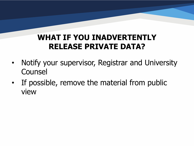#### **WHAT IF YOU INADVERTENTLY RELEASE PRIVATE DATA?**

- Notify your supervisor, Registrar and University Counsel
- If possible, remove the material from public view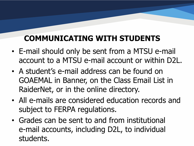## **COMMUNICATING WITH STUDENTS**

- E-mail should only be sent from a MTSU e-mail account to a MTSU e-mail account or within D2L.
- A student's e-mail address can be found on GOAEMAL in Banner, on the Class Email List in RaiderNet, or in the online directory.
- All e-mails are considered education records and subject to FERPA regulations.
- Grades can be sent to and from institutional e-mail accounts, including D2L, to individual students.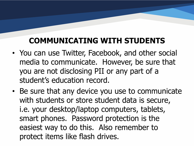#### **COMMUNICATING WITH STUDENTS**

- You can use Twitter, Facebook, and other social media to communicate. However, be sure that you are not disclosing PII or any part of a student's education record.
- Be sure that any device you use to communicate with students or store student data is secure, i.e. your desktop/laptop computers, tablets, smart phones. Password protection is the easiest way to do this. Also remember to protect items like flash drives.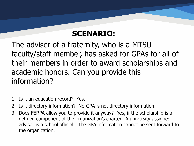The adviser of a fraternity, who is a MTSU faculty/staff member, has asked for GPAs for all of their members in order to award scholarships and academic honors. Can you provide this information?

- 1. Is it an education record? Yes.
- 2. Is it directory information? No-GPA is not directory information.
- 3. Does FERPA allow you to provide it anyway? Yes, if the scholarship is a defined component of the organization's charter. A university-assigned advisor is a school official. The GPA information cannot be sent forward to the organization.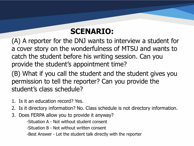(A) A reporter for the DNJ wants to interview a student for a cover story on the wonderfulness of MTSU and wants to catch the student before his writing session. Can you provide the student's appointment time?

(B) What if you call the student and the student gives you permission to tell the reporter? Can you provide the student's class schedule?

- 1. Is it an education record? Yes.
- 2. Is it directory information? No. Class schedule is not directory information.
- 3. Does FERPA allow you to provide it anyway?
	- -Situation A Not without student consent
	- -Situation B Not without written consent
	- -Best Answer Let the student talk directly with the reporter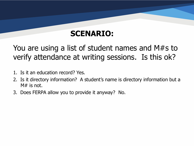#### You are using a list of student names and M#s to verify attendance at writing sessions. Is this ok?

- 1. Is it an education record? Yes.
- 2. Is it directory information? A student's name is directory information but a  $M#$  is not.
- 3. Does FERPA allow you to provide it anyway? No.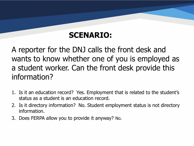A reporter for the DNJ calls the front desk and wants to know whether one of you is employed as a student worker. Can the front desk provide this information?

- 1. Is it an education record? Yes. Employment that is related to the student's status as a student is an education record.
- 2. Is it directory information? No. Student employment status is not directory information.
- 3. Does FERPA allow you to provide it anyway? No.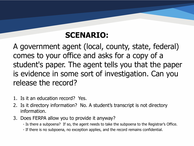A government agent (local, county, state, federal) comes to your office and asks for a copy of a student's paper. The agent tells you that the paper is evidence in some sort of investigation. Can you release the record?

- 1. Is it an education record? Yes.
- 2. Is it directory information? No. A student's transcript is not directory information.
- 3. Does FERPA allow you to provide it anyway?
	- Is there a subpoena? If so, the agent needs to take the subpoena to the Registrar's Office.
	- If there is no subpoena, no exception applies, and the record remains confidential.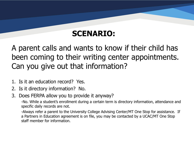A parent calls and wants to know if their child has been coming to their writing center appointments. Can you give out that information?

- 1. Is it an education record? Yes.
- 2. Is it directory information? No.
- 3. Does FERPA allow you to provide it anyway?

-No. While a student's enrollment during a certain term is directory information, attendance and specific daily records are not.

-Always refer a parent to the University College Advising Center/MT One Stop for assistance. If a Partners in Education agreement is on file, you may be contacted by a UCAC/MT One Stop staff member for information.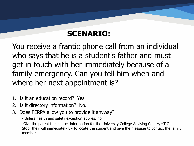You receive a frantic phone call from an individual who says that he is a student's father and must get in touch with her immediately because of a family emergency. Can you tell him when and where her next appointment is?

- 1. Is it an education record? Yes.
- 2. Is it directory information? No.
- 3. Does FERPA allow you to provide it anyway?
	- Unless health and safety exception applies, no.

-Give the parent the contact information for the University College Advising Center/MT One Stop; they will immediately try to locate the student and give the message to contact the family member.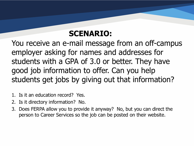You receive an e-mail message from an off-campus employer asking for names and addresses for students with a GPA of 3.0 or better. They have good job information to offer. Can you help students get jobs by giving out that information?

- 1. Is it an education record? Yes.
- 2. Is it directory information? No.
- 3. Does FERPA allow you to provide it anyway? No, but you can direct the person to Career Services so the job can be posted on their website.